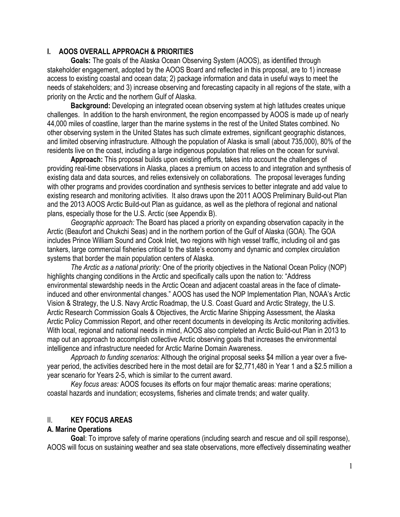## **I. AOOS OVERALL APPROACH & PRIORITIES**

**Goals:** The goals of the Alaska Ocean Observing System (AOOS), as identified through stakeholder engagement, adopted by the AOOS Board and reflected in this proposal, are to 1) increase access to existing coastal and ocean data; 2) package information and data in useful ways to meet the needs of stakeholders; and 3) increase observing and forecasting capacity in all regions of the state, with a priority on the Arctic and the northern Gulf of Alaska.

**Background:** Developing an integrated ocean observing system at high latitudes creates unique challenges. In addition to the harsh environment, the region encompassed by AOOS is made up of nearly 44,000 miles of coastline, larger than the marine systems in the rest of the United States combined. No other observing system in the United States has such climate extremes, significant geographic distances, and limited observing infrastructure. Although the population of Alaska is small (about 735,000), 80% of the residents live on the coast, including a large indigenous population that relies on the ocean for survival.

**Approach:** This proposal builds upon existing efforts, takes into account the challenges of providing real-time observations in Alaska, places a premium on access to and integration and synthesis of existing data and data sources, and relies extensively on collaborations. The proposal leverages funding with other programs and provides coordination and synthesis services to better integrate and add value to existing research and monitoring activities. It also draws upon the 2011 AOOS Preliminary Build-out Plan and the 2013 AOOS Arctic Build-out Plan as guidance, as well as the plethora of regional and national plans, especially those for the U.S. Arctic (see Appendix B).

*Geographic approach:* The Board has placed a priority on expanding observation capacity in the Arctic (Beaufort and Chukchi Seas) and in the northern portion of the Gulf of Alaska (GOA). The GOA includes Prince William Sound and Cook Inlet, two regions with high vessel traffic, including oil and gas tankers, large commercial fisheries critical to the state's economy and dynamic and complex circulation systems that border the main population centers of Alaska.

*The Arctic as a national priority:* One of the priority objectives in the National Ocean Policy (NOP) highlights changing conditions in the Arctic and specifically calls upon the nation to: "Address environmental stewardship needs in the Arctic Ocean and adjacent coastal areas in the face of climateinduced and other environmental changes." AOOS has used the NOP Implementation Plan, NOAA's Arctic Vision & Strategy, the U.S. Navy Arctic Roadmap, the U.S. Coast Guard and Arctic Strategy, the U.S. Arctic Research Commission Goals & Objectives, the Arctic Marine Shipping Assessment, the Alaska Arctic Policy Commission Report, and other recent documents in developing its Arctic monitoring activities. With local, regional and national needs in mind, AOOS also completed an Arctic Build-out Plan in 2013 to map out an approach to accomplish collective Arctic observing goals that increases the environmental intelligence and infrastructure needed for Arctic Marine Domain Awareness.

*Approach to funding scenarios:* Although the original proposal seeks \$4 million a year over a fiveyear period, the activities described here in the most detail are for \$2,771,480 in Year 1 and a \$2.5 million a year scenario for Years 2-5, which is similar to the current award.

*Key focus areas:* AOOS focuses its efforts on four major thematic areas: marine operations; coastal hazards and inundation; ecosystems, fisheries and climate trends; and water quality.

# II. **KEY FOCUS AREAS**

# **A. Marine Operations**

**Goal**: To improve safety of marine operations (including search and rescue and oil spill response), AOOS will focus on sustaining weather and sea state observations, more effectively disseminating weather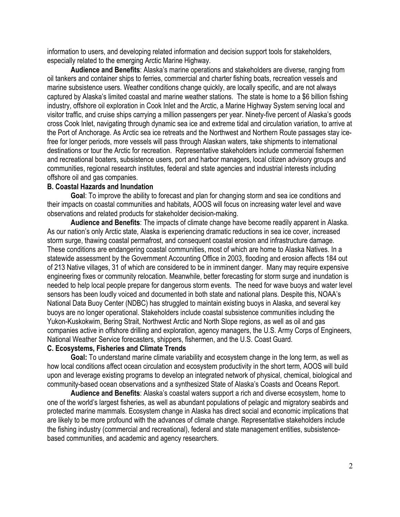information to users, and developing related information and decision support tools for stakeholders, especially related to the emerging Arctic Marine Highway.

**Audience and Benefits**: Alaska's marine operations and stakeholders are diverse, ranging from oil tankers and container ships to ferries, commercial and charter fishing boats, recreation vessels and marine subsistence users. Weather conditions change quickly, are locally specific, and are not always captured by Alaska's limited coastal and marine weather stations. The state is home to a \$6 billion fishing industry, offshore oil exploration in Cook Inlet and the Arctic, a Marine Highway System serving local and visitor traffic, and cruise ships carrying a million passengers per year. Ninety-five percent of Alaska's goods cross Cook Inlet, navigating through dynamic sea ice and extreme tidal and circulation variation, to arrive at the Port of Anchorage. As Arctic sea ice retreats and the Northwest and Northern Route passages stay icefree for longer periods, more vessels will pass through Alaskan waters, take shipments to international destinations or tour the Arctic for recreation. Representative stakeholders include commercial fishermen and recreational boaters, subsistence users, port and harbor managers, local citizen advisory groups and communities, regional research institutes, federal and state agencies and industrial interests including offshore oil and gas companies.

### **B. Coastal Hazards and Inundation**

**Goal**: To improve the ability to forecast and plan for changing storm and sea ice conditions and their impacts on coastal communities and habitats, AOOS will focus on increasing water level and wave observations and related products for stakeholder decision-making.

**Audience and Benefits**: The impacts of climate change have become readily apparent in Alaska. As our nation's only Arctic state, Alaska is experiencing dramatic reductions in sea ice cover, increased storm surge, thawing coastal permafrost, and consequent coastal erosion and infrastructure damage. These conditions are endangering coastal communities, most of which are home to Alaska Natives. In a statewide assessment by the Government Accounting Office in 2003, flooding and erosion affects 184 out of 213 Native villages, 31 of which are considered to be in imminent danger. Many may require expensive engineering fixes or community relocation. Meanwhile, better forecasting for storm surge and inundation is needed to help local people prepare for dangerous storm events. The need for wave buoys and water level sensors has been loudly voiced and documented in both state and national plans. Despite this, NOAA's National Data Buoy Center (NDBC) has struggled to maintain existing buoys in Alaska, and several key buoys are no longer operational. Stakeholders include coastal subsistence communities including the Yukon-Kuskokwim, Bering Strait, Northwest Arctic and North Slope regions, as well as oil and gas companies active in offshore drilling and exploration, agency managers, the U.S. Army Corps of Engineers, National Weather Service forecasters, shippers, fishermen, and the U.S. Coast Guard.

### **C. Ecosystems, Fisheries and Climate Trends**

**Goal:** To understand marine climate variability and ecosystem change in the long term, as well as how local conditions affect ocean circulation and ecosystem productivity in the short term, AOOS will build upon and leverage existing programs to develop an integrated network of physical, chemical, biological and community-based ocean observations and a synthesized State of Alaska's Coasts and Oceans Report.

**Audience and Benefits**: Alaska's coastal waters support a rich and diverse ecosystem, home to one of the world's largest fisheries, as well as abundant populations of pelagic and migratory seabirds and protected marine mammals. Ecosystem change in Alaska has direct social and economic implications that are likely to be more profound with the advances of climate change. Representative stakeholders include the fishing industry (commercial and recreational), federal and state management entities, subsistencebased communities, and academic and agency researchers.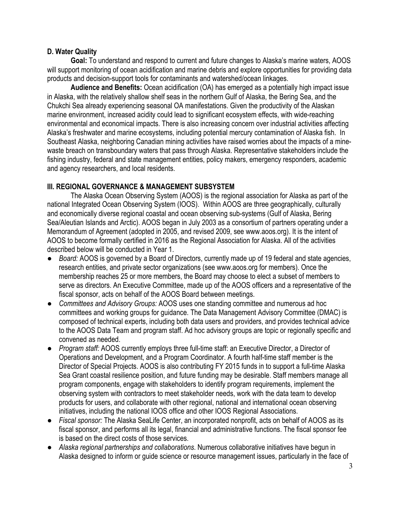# **D. Water Quality**

**Goal:** To understand and respond to current and future changes to Alaska's marine waters, AOOS will support monitoring of ocean acidification and marine debris and explore opportunities for providing data products and decision-support tools for contaminants and watershed/ocean linkages.

**Audience and Benefits:** Ocean acidification (OA) has emerged as a potentially high impact issue in Alaska, with the relatively shallow shelf seas in the northern Gulf of Alaska, the Bering Sea, and the Chukchi Sea already experiencing seasonal OA manifestations. Given the productivity of the Alaskan marine environment, increased acidity could lead to significant ecosystem effects, with wide-reaching environmental and economical impacts. There is also increasing concern over industrial activities affecting Alaska's freshwater and marine ecosystems, including potential mercury contamination of Alaska fish. In Southeast Alaska, neighboring Canadian mining activities have raised worries about the impacts of a minewaste breach on transboundary waters that pass through Alaska. Representative stakeholders include the fishing industry, federal and state management entities, policy makers, emergency responders, academic and agency researchers, and local residents.

# **III. REGIONAL GOVERNANCE & MANAGEMENT SUBSYSTEM**

The Alaska Ocean Observing System (AOOS) is the regional association for Alaska as part of the national Integrated Ocean Observing System (IOOS). Within AOOS are three geographically, culturally and economically diverse regional coastal and ocean observing sub-systems (Gulf of Alaska, Bering Sea/Aleutian Islands and Arctic). AOOS began in July 2003 as a consortium of partners operating under a Memorandum of Agreement (adopted in 2005, and revised 2009, see www.aoos.org). It is the intent of AOOS to become formally certified in 2016 as the Regional Association for Alaska. All of the activities described below will be conducted in Year 1.

- *Board:* AOOS is governed by a Board of Directors, currently made up of 19 federal and state agencies, research entities, and private sector organizations (see www.aoos.org for members). Once the membership reaches 25 or more members, the Board may choose to elect a subset of members to serve as directors. An Executive Committee, made up of the AOOS officers and a representative of the fiscal sponsor, acts on behalf of the AOOS Board between meetings.
- *Committees and Advisory Groups:* AOOS uses one standing committee and numerous ad hoc committees and working groups for guidance. The Data Management Advisory Committee (DMAC) is composed of technical experts, including both data users and providers, and provides technical advice to the AOOS Data Team and program staff. Ad hoc advisory groups are topic or regionally specific and convened as needed.
- *Program staff:* AOOS currently employs three full-time staff: an Executive Director, a Director of Operations and Development, and a Program Coordinator. A fourth half-time staff member is the Director of Special Projects. AOOS is also contributing FY 2015 funds in to support a full-time Alaska Sea Grant coastal resilience position, and future funding may be desirable. Staff members manage all program components, engage with stakeholders to identify program requirements, implement the observing system with contractors to meet stakeholder needs, work with the data team to develop products for users, and collaborate with other regional, national and international ocean observing initiatives, including the national IOOS office and other IOOS Regional Associations.
- *Fiscal sponsor:* The Alaska SeaLife Center, an incorporated nonprofit, acts on behalf of AOOS as its fiscal sponsor, and performs all its legal, financial and administrative functions. The fiscal sponsor fee is based on the direct costs of those services.
- *Alaska regional partnerships and collaborations*. Numerous collaborative initiatives have begun in Alaska designed to inform or guide science or resource management issues, particularly in the face of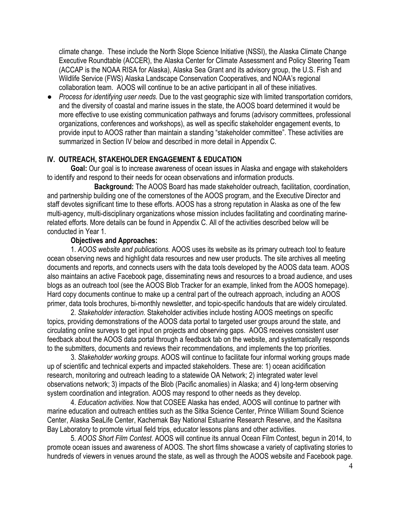climate change. These include the North Slope Science Initiative (NSSI), the Alaska Climate Change Executive Roundtable (ACCER), the Alaska Center for Climate Assessment and Policy Steering Team (ACCAP is the NOAA RISA for Alaska), Alaska Sea Grant and its advisory group, the U.S. Fish and Wildlife Service (FWS) Alaska Landscape Conservation Cooperatives, and NOAA's regional collaboration team. AOOS will continue to be an active participant in all of these initiatives.

● *Process for identifying user needs.* Due to the vast geographic size with limited transportation corridors, and the diversity of coastal and marine issues in the state, the AOOS board determined it would be more effective to use existing communication pathways and forums (advisory committees, professional organizations, conferences and workshops), as well as specific stakeholder engagement events, to provide input to AOOS rather than maintain a standing "stakeholder committee". These activities are summarized in Section IV below and described in more detail in Appendix C.

## **IV. OUTREACH, STAKEHOLDER ENGAGEMENT & EDUCATION**

**Goal:** Our goal is to increase awareness of ocean issues in Alaska and engage with stakeholders to identify and respond to their needs for ocean observations and information products.

**Background:** The AOOS Board has made stakeholder outreach, facilitation, coordination, and partnership building one of the cornerstones of the AOOS program, and the Executive Director and staff devotes significant time to these efforts. AOOS has a strong reputation in Alaska as one of the few multi-agency, multi-disciplinary organizations whose mission includes facilitating and coordinating marinerelated efforts. More details can be found in Appendix C. All of the activities described below will be conducted in Year 1.

### **Objectives and Approaches:**

1. *AOOS website and publications.* AOOS uses its website as its primary outreach tool to feature ocean observing news and highlight data resources and new user products. The site archives all meeting documents and reports, and connects users with the data tools developed by the AOOS data team. AOOS also maintains an active Facebook page, disseminating news and resources to a broad audience, and uses blogs as an outreach tool (see the AOOS Blob Tracker for an example, linked from the AOOS homepage). Hard copy documents continue to make up a central part of the outreach approach, including an AOOS primer, data tools brochures, bi-monthly newsletter, and topic-specific handouts that are widely circulated.

2. *Stakeholder interaction*. Stakeholder activities include hosting AOOS meetings on specific topics, providing demonstrations of the AOOS data portal to targeted user groups around the state, and circulating online surveys to get input on projects and observing gaps. AOOS receives consistent user feedback about the AOOS data portal through a feedback tab on the website, and systematically responds to the submitters, documents and reviews their recommendations, and implements the top priorities.

3. *Stakeholder working groups*. AOOS will continue to facilitate four informal working groups made up of scientific and technical experts and impacted stakeholders. These are: 1) ocean acidification research, monitoring and outreach leading to a statewide OA Network; 2) integrated water level observations network; 3) impacts of the Blob (Pacific anomalies) in Alaska; and 4) long-term observing system coordination and integration. AOOS may respond to other needs as they develop.

4. *Education activities*. Now that COSEE Alaska has ended, AOOS will continue to partner with marine education and outreach entities such as the Sitka Science Center, Prince William Sound Science Center, Alaska SeaLife Center, Kachemak Bay National Estuarine Research Reserve, and the Kasitsna Bay Laboratory to promote virtual field trips, educator lessons plans and other activities.

5. *AOOS Short Film Contest*. AOOS will continue its annual Ocean Film Contest, begun in 2014, to promote ocean issues and awareness of AOOS. The short films showcase a variety of captivating stories to hundreds of viewers in venues around the state, as well as through the AOOS website and Facebook page.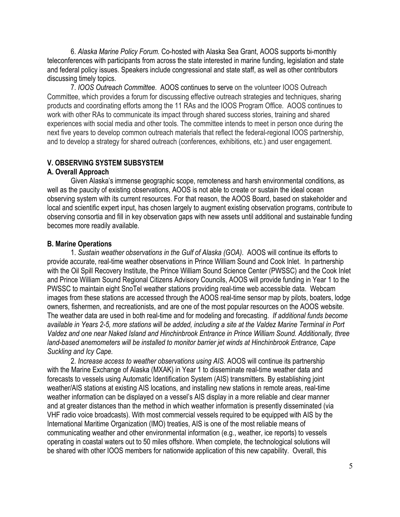6. *Alaska Marine Policy Forum.* Co-hosted with Alaska Sea Grant, AOOS supports bi-monthly teleconferences with participants from across the state interested in marine funding, legislation and state and federal policy issues. Speakers include congressional and state staff, as well as other contributors discussing timely topics.

7. *IOOS Outreach Committee*. AOOS continues to serve on the volunteer IOOS Outreach Committee, which provides a forum for discussing effective outreach strategies and techniques, sharing products and coordinating efforts among the 11 RAs and the IOOS Program Office. AOOS continues to work with other RAs to communicate its impact through shared success stories, training and shared experiences with social media and other tools. The committee intends to meet in person once during the next five years to develop common outreach materials that reflect the federal-regional IOOS partnership, and to develop a strategy for shared outreach (conferences, exhibitions, etc.) and user engagement.

### **V. OBSERVING SYSTEM SUBSYSTEM**

### **A. Overall Approach**

Given Alaska's immense geographic scope, remoteness and harsh environmental conditions, as well as the paucity of existing observations, AOOS is not able to create or sustain the ideal ocean observing system with its current resources. For that reason, the AOOS Board, based on stakeholder and local and scientific expert input, has chosen largely to augment existing observation programs, contribute to observing consortia and fill in key observation gaps with new assets until additional and sustainable funding becomes more readily available.

### **B. Marine Operations**

1. *Sustain weather observations in the Gulf of Alaska (GOA)*. AOOS will continue its efforts to provide accurate, real-time weather observations in Prince William Sound and Cook Inlet. In partnership with the Oil Spill Recovery Institute, the Prince William Sound Science Center (PWSSC) and the Cook Inlet and Prince William Sound Regional Citizens Advisory Councils, AOOS will provide funding in Year 1 to the PWSSC to maintain eight SnoTel weather stations providing real-time web accessible data. Webcam images from these stations are accessed through the AOOS real-time sensor map by pilots, boaters, lodge owners, fishermen, and recreationists, and are one of the most popular resources on the AOOS website. The weather data are used in both real-time and for modeling and forecasting. *If additional funds become available in Years 2-5, more stations will be added, including a site at the Valdez Marine Terminal in Port Valdez and one near Naked Island and Hinchinbrook Entrance in Prince William Sound. Additionally, three land-based anemometers will be installed to monitor barrier jet winds at Hinchinbrook Entrance, Cape Suckling and Icy Cape.*

2. *Increase access to weather observations using AIS.* AOOS will continue its partnership with the Marine Exchange of Alaska (MXAK) in Year 1 to disseminate real-time weather data and forecasts to vessels using Automatic Identification System (AIS) transmitters. By establishing joint weather/AIS stations at existing AIS locations, and installing new stations in remote areas, real-time weather information can be displayed on a vessel's AIS display in a more reliable and clear manner and at greater distances than the method in which weather information is presently disseminated (via VHF radio voice broadcasts). With most commercial vessels required to be equipped with AIS by the International Maritime Organization (IMO) treaties, AIS is one of the most reliable means of communicating weather and other environmental information (e.g., weather, ice reports) to vessels operating in coastal waters out to 50 miles offshore. When complete, the technological solutions will be shared with other IOOS members for nationwide application of this new capability. Overall, this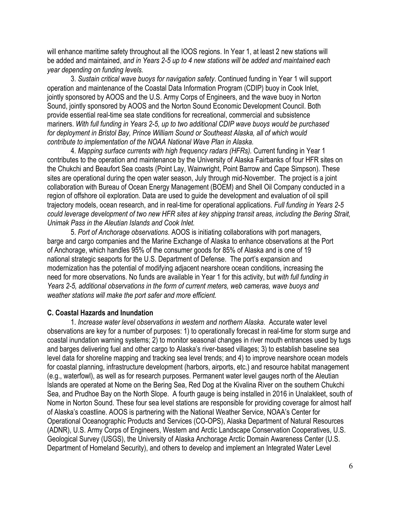will enhance maritime safety throughout all the IOOS regions. In Year 1, at least 2 new stations will be added and maintained, *and in Years 2-5 up to 4 new stations will be added and maintained each year depending on funding levels.* 

3. *Sustain critical wave buoys for navigation safety*. Continued funding in Year 1 will support operation and maintenance of the Coastal Data Information Program (CDIP) buoy in Cook Inlet, jointly sponsored by AOOS and the U.S. Army Corps of Engineers, and the wave buoy in Norton Sound, jointly sponsored by AOOS and the Norton Sound Economic Development Council. Both provide essential real-time sea state conditions for recreational, commercial and subsistence mariners. *With full funding in Years 2-5, up to two additional CDIP wave buoys would be purchased for deployment in Bristol Bay, Prince William Sound or Southeast Alaska, all of which would contribute to implementation of the NOAA National Wave Plan in Alaska.*

4. *Mapping surface currents with high frequency radars (HFRs).* Current funding in Year 1 contributes to the operation and maintenance by the University of Alaska Fairbanks of four HFR sites on the Chukchi and Beaufort Sea coasts (Point Lay, Wainwright, Point Barrow and Cape Simpson). These sites are operational during the open water season, July through mid-November. The project is a joint collaboration with Bureau of Ocean Energy Management (BOEM) and Shell Oil Company conducted in a region of offshore oil exploration. Data are used to guide the development and evaluation of oil spill trajectory models, ocean research, and in real-time for operational applications. *Full funding in Years 2-5 could leverage development of two new HFR sites at key shipping transit areas, including the Bering Strait, Unimak Pass in the Aleutian Islands and Cook Inlet.*

5. *Port of Anchorage observations*. AOOS is initiating collaborations with port managers, barge and cargo companies and the Marine Exchange of Alaska to enhance observations at the Port of Anchorage, which handles 95% of the consumer goods for 85% of Alaska and is one of 19 national strategic seaports for the U.S. Department of Defense. The port's expansion and modernization has the potential of modifying adjacent nearshore ocean conditions, increasing the need for more observations. No funds are available in Year 1 for this activity, but *with full funding in Years 2-5, additional observations in the form of current meters, web cameras, wave buoys and weather stations will make the port safer and more efficient.*

#### **C. Coastal Hazards and Inundation**

1. *Increase water level observations in western and northern Alaska*. Accurate water level observations are key for a number of purposes: 1) to operationally forecast in real-time for storm surge and coastal inundation warning systems; 2) to monitor seasonal changes in river mouth entrances used by tugs and barges delivering fuel and other cargo to Alaska's river-based villages; 3) to establish baseline sea level data for shoreline mapping and tracking sea level trends; and 4) to improve nearshore ocean models for coastal planning, infrastructure development (harbors, airports, etc.) and resource habitat management (e.g., waterfowl), as well as for research purposes. Permanent water level gauges north of the Aleutian Islands are operated at Nome on the Bering Sea, Red Dog at the Kivalina River on the southern Chukchi Sea, and Prudhoe Bay on the North Slope. A fourth gauge is being installed in 2016 in Unalakleet, south of Nome in Norton Sound. These four sea level stations are responsible for providing coverage for almost half of Alaska's coastline. AOOS is partnering with the National Weather Service, NOAA's Center for Operational Oceanographic Products and Services (CO-OPS), Alaska Department of Natural Resources (ADNR), U.S. Army Corps of Engineers, Western and Arctic Landscape Conservation Cooperatives, U.S. Geological Survey (USGS), the University of Alaska Anchorage Arctic Domain Awareness Center (U.S. Department of Homeland Security), and others to develop and implement an Integrated Water Level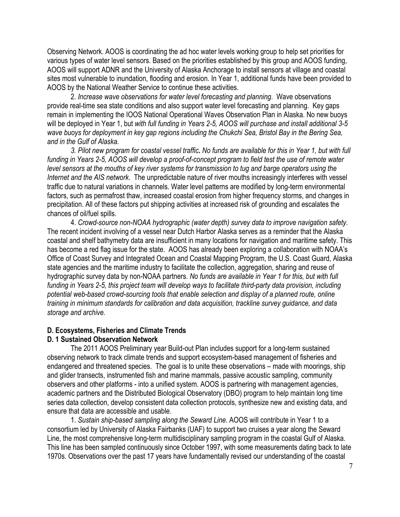Observing Network. AOOS is coordinating the ad hoc water levels working group to help set priorities for various types of water level sensors. Based on the priorities established by this group and AOOS funding, AOOS will support ADNR and the University of Alaska Anchorage to install sensors at village and coastal sites most vulnerable to inundation, flooding and erosion. In Year 1, additional funds have been provided to AOOS by the National Weather Service to continue these activities.

2. *Increase wave observations for water level forecasting and planning*. Wave observations provide real-time sea state conditions and also support water level forecasting and planning. Key gaps remain in implementing the IOOS National Operational Waves Observation Plan in Alaska. No new buoys will be deployed in Year 1, but *with full funding in Years 2-5, AOOS will purchase and install additional 3-5 wave buoys for deployment in key gap regions including the Chukchi Sea, Bristol Bay in the Bering Sea, and in the Gulf of Alaska.* 

*3. Pilot new program for coastal vessel traffic***.** *No funds are available for this in Year 1, but with full funding in Years 2-5, AOOS will develop a proof-of-concept program to field test the use of remote water level sensors at the mouths of key river systems for transmission to tug and barge operators using the Internet and the AIS network*. The unpredictable nature of river mouths increasingly interferes with vessel traffic due to natural variations in channels. Water level patterns are modified by long-term environmental factors, such as permafrost thaw, increased coastal erosion from higher frequency storms, and changes in precipitation. All of these factors put shipping activities at increased risk of grounding and escalates the chances of oil/fuel spills.

4. *Crowd-source non-NOAA hydrographic (water depth) survey data to improve navigation safety.*  The recent incident involving of a vessel near Dutch Harbor Alaska serves as a reminder that the Alaska coastal and shelf bathymetry data are insufficient in many locations for navigation and maritime safety. This has become a red flag issue for the state. AOOS has already been exploring a collaboration with NOAA's Office of Coast Survey and Integrated Ocean and Coastal Mapping Program, the U.S. Coast Guard, Alaska state agencies and the maritime industry to facilitate the collection, aggregation, sharing and reuse of hydrographic survey data by non-NOAA partners. *No funds are available in Year 1 for this, but with full funding in Years 2-5, this project team will develop ways to facilitate third-party data provision, including potential web-based crowd-sourcing tools that enable selection and display of a planned route, online training in minimum standards for calibration and data acquisition, trackline survey guidance, and data storage and archive.*

### **D. Ecosystems, Fisheries and Climate Trends**

#### **D. 1 Sustained Observation Network**

The 2011 AOOS Preliminary year Build-out Plan includes support for a long-term sustained observing network to track climate trends and support ecosystem-based management of fisheries and endangered and threatened species. The goal is to unite these observations – made with moorings, ship and glider transects, instrumented fish and marine mammals, passive acoustic sampling, community observers and other platforms - into a unified system. AOOS is partnering with management agencies, academic partners and the Distributed Biological Observatory (DBO) program to help maintain long time series data collection, develop consistent data collection protocols, synthesize new and existing data, and ensure that data are accessible and usable.

1. *Sustain ship-based sampling along the Seward Line*. AOOS will contribute in Year 1 to a consortium led by University of Alaska Fairbanks (UAF) to support two cruises a year along the Seward Line, the most comprehensive long-term multidisciplinary sampling program in the coastal Gulf of Alaska. This line has been sampled continuously since October 1997, with some measurements dating back to late 1970s. Observations over the past 17 years have fundamentally revised our understanding of the coastal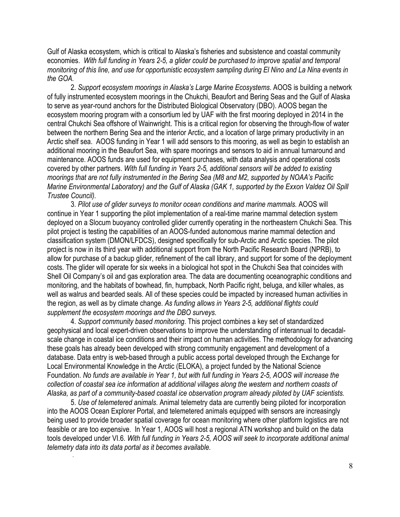Gulf of Alaska ecosystem, which is critical to Alaska's fisheries and subsistence and coastal community economies. *With full funding in Years 2-5, a glider could be purchased to improve spatial and temporal monitoring of this line, and use for opportunistic ecosystem sampling during El Nino and La Nina events in the GOA.* 

2. *Support ecosystem moorings in Alaska's Large Marine Ecosystems*. AOOS is building a network of fully instrumented ecosystem moorings in the Chukchi, Beaufort and Bering Seas and the Gulf of Alaska to serve as year-round anchors for the Distributed Biological Observatory (DBO). AOOS began the ecosystem mooring program with a consortium led by UAF with the first mooring deployed in 2014 in the central Chukchi Sea offshore of Wainwright. This is a critical region for observing the through-flow of water between the northern Bering Sea and the interior Arctic, and a location of large primary productivity in an Arctic shelf sea. AOOS funding in Year 1 will add sensors to this mooring, as well as begin to establish an additional mooring in the Beaufort Sea, with spare moorings and sensors to aid in annual turnaround and maintenance. AOOS funds are used for equipment purchases, with data analysis and operational costs covered by other partners. *With full funding in Years 2-5, additional sensors will be added to existing moorings that are not fully instrumented in the Bering Sea (M8 and M2, supported by NOAA's Pacific Marine Environmental Laboratory) and the Gulf of Alaska (GAK 1, supported by the Exxon Valdez Oil Spill Trustee Council).* 

3. *Pilot use of glider surveys to monitor ocean conditions and marine mammals.* AOOS will continue in Year 1 supporting the pilot implementation of a real-time marine mammal detection system deployed on a Slocum buoyancy controlled glider currently operating in the northeastern Chukchi Sea. This pilot project is testing the capabilities of an AOOS-funded autonomous marine mammal detection and classification system (DMON/LFDCS), designed specifically for sub-Arctic and Arctic species. The pilot project is now in its third year with additional support from the North Pacific Research Board (NPRB), to allow for purchase of a backup glider, refinement of the call library, and support for some of the deployment costs. The glider will operate for six weeks in a biological hot spot in the Chukchi Sea that coincides with Shell Oil Company's oil and gas exploration area. The data are documenting oceanographic conditions and monitoring, and the habitats of bowhead, fin, humpback, North Pacific right, beluga, and killer whales, as well as walrus and bearded seals. All of these species could be impacted by increased human activities in the region, as well as by climate change. *As funding allows in Years 2-5, additional flights could supplement the ecosystem moorings and the DBO surveys.*

4. *Support community based monitoring*. This project combines a key set of standardized geophysical and local expert-driven observations to improve the understanding of interannual to decadalscale change in coastal ice conditions and their impact on human activities. The methodology for advancing these goals has already been developed with strong community engagement and development of a database. Data entry is web-based through a public access portal developed through the Exchange for Local Environmental Knowledge in the Arctic (ELOKA), a project funded by the National Science Foundation. *No funds are available in Year 1, but with full funding in Years 2-5, AOOS will increase the collection of coastal sea ice information at additional villages along the western and northern coasts of Alaska, as part of a community-based coastal ice observation program already piloted by UAF scientists.* 

5. *Use of telemetered animals*. Animal telemetry data are currently being piloted for incorporation into the AOOS Ocean Explorer Portal, and telemetered animals equipped with sensors are increasingly being used to provide broader spatial coverage for ocean monitoring where other platform logistics are not feasible or are too expensive. In Year 1, AOOS will host a regional ATN workshop and build on the data tools developed under VI.6. *With full funding in Years 2-5, AOOS will seek to incorporate additional animal telemetry data into its data portal as it becomes available.*

.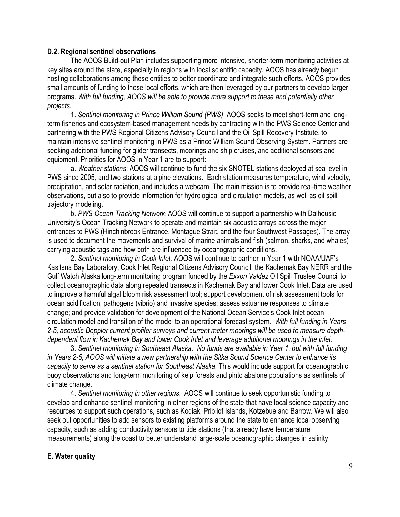## **D.2. Regional sentinel observations**

The AOOS Build-out Plan includes supporting more intensive, shorter-term monitoring activities at key sites around the state, especially in regions with local scientific capacity. AOOS has already begun hosting collaborations among these entities to better coordinate and integrate such efforts. AOOS provides small amounts of funding to these local efforts, which are then leveraged by our partners to develop larger programs. *With full funding, AOOS will be able to provide more support to these and potentially other projects.*

1. *Sentinel monitoring in Prince William Sound (PWS)*. AOOS seeks to meet short-term and longterm fisheries and ecosystem-based management needs by contracting with the PWS Science Center and partnering with the PWS Regional Citizens Advisory Council and the Oil Spill Recovery Institute, to maintain intensive sentinel monitoring in PWS as a Prince William Sound Observing System. Partners are seeking additional funding for glider transects, moorings and ship cruises, and additional sensors and equipment. Priorities for AOOS in Year 1 are to support:

a. *Weather stations*: AOOS will continue to fund the six SNOTEL stations deployed at sea level in PWS since 2005, and two stations at alpine elevations. Each station measures temperature, wind velocity, precipitation, and solar radiation, and includes a webcam. The main mission is to provide real-time weather observations, but also to provide information for hydrological and circulation models, as well as oil spill trajectory modeling.

b. *PWS Ocean Tracking Network***:** AOOS will continue to support a partnership with Dalhousie University's Ocean Tracking Network to operate and maintain six acoustic arrays across the major entrances to PWS (Hinchinbrook Entrance, Montague Strait, and the four Southwest Passages). The array is used to document the movements and survival of marine animals and fish (salmon, sharks, and whales) carrying acoustic tags and how both are influenced by oceanographic conditions.

2. *Sentinel monitoring in Cook Inlet*. AOOS will continue to partner in Year 1 with NOAA/UAF's Kasitsna Bay Laboratory, Cook Inlet Regional Citizens Advisory Council, the Kachemak Bay NERR and the Gulf Watch Alaska long-term monitoring program funded by the *Exxon Valdez* Oil Spill Trustee Council to collect oceanographic data along repeated transects in Kachemak Bay and lower Cook Inlet. Data are used to improve a harmful algal bloom risk assessment tool; support development of risk assessment tools for ocean acidification, pathogens (vibrio) and invasive species; assess estuarine responses to climate change; and provide validation for development of the National Ocean Service's Cook Inlet ocean circulation model and transition of the model to an operational forecast system. *With full funding in Years 2-5, acoustic Doppler current profiler surveys and current meter moorings will be used to measure depthdependent flow in Kachemak Bay and lower Cook Inlet and leverage additional moorings in the inlet.*

3. *Sentinel monitoring in Southeast Alaska*. *No funds are available in Year 1, but with full funding in Years 2-5, AOOS will initiate a new partnership with the Sitka Sound Science Center to enhance its capacity to serve as a sentinel station for Southeast Alaska.* This would include support for oceanographic buoy observations and long-term monitoring of kelp forests and pinto abalone populations as sentinels of climate change.

4. *Sentinel monitoring in other regions*. AOOS will continue to seek opportunistic funding to develop and enhance sentinel monitoring in other regions of the state that have local science capacity and resources to support such operations, such as Kodiak, Pribilof Islands, Kotzebue and Barrow. We will also seek out opportunities to add sensors to existing platforms around the state to enhance local observing capacity, such as adding conductivity sensors to tide stations (that already have temperature measurements) along the coast to better understand large-scale oceanographic changes in salinity.

### **E. Water quality**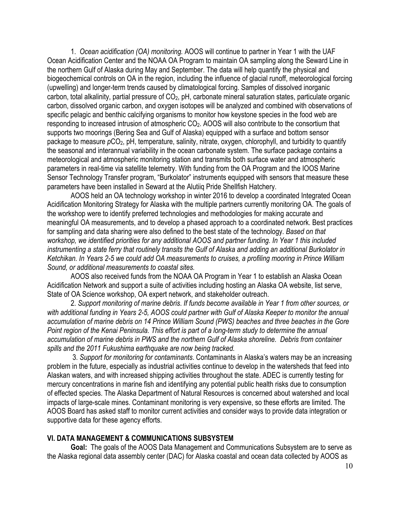1. *Ocean acidification (OA) monitoring.* AOOS will continue to partner in Year 1 with the UAF Ocean Acidification Center and the NOAA OA Program to maintain OA sampling along the Seward Line in the northern Gulf of Alaska during May and September. The data will help quantify the physical and biogeochemical controls on OA in the region, including the influence of glacial runoff, meteorological forcing (upwelling) and longer-term trends caused by climatological forcing. Samples of dissolved inorganic carbon, total alkalinity, partial pressure of CO2, pH, carbonate mineral saturation states, particulate organic carbon, dissolved organic carbon, and oxygen isotopes will be analyzed and combined with observations of specific pelagic and benthic calcifying organisms to monitor how keystone species in the food web are responding to increased intrusion of atmospheric CO<sub>2</sub>. AOOS will also contribute to the consortium that supports two moorings (Bering Sea and Gulf of Alaska) equipped with a surface and bottom sensor package to measure  $pCO_2$ , pH, temperature, salinity, nitrate, oxygen, chlorophyll, and turbidity to quantify the seasonal and interannual variability in the ocean carbonate system. The surface package contains a meteorological and atmospheric monitoring station and transmits both surface water and atmospheric parameters in real-time via satellite telemetry. With funding from the OA Program and the IOOS Marine Sensor Technology Transfer program, "Burkolator" instruments equipped with sensors that measure these parameters have been installed in Seward at the Alutiiq Pride Shellfish Hatchery.

AOOS held an OA technology workshop in winter 2016 to develop a coordinated Integrated Ocean Acidification Monitoring Strategy for Alaska with the multiple partners currently monitoring OA. The goals of the workshop were to identify preferred technologies and methodologies for making accurate and meaningful OA measurements, and to develop a phased approach to a coordinated network. Best practices for sampling and data sharing were also defined to the best state of the technology. *Based on that workshop, we identified priorities for any additional AOOS and partner funding. In Year 1 this included instrumenting a state ferry that routinely transits the Gulf of Alaska and adding an additional Burkolator in Ketchikan. In Years 2-5 we could add OA measurements to cruises, a profiling mooring in Prince William Sound, or additional measurements to coastal sites.*

AOOS also received funds from the NOAA OA Program in Year 1 to establish an Alaska Ocean Acidification Network and support a suite of activities including hosting an Alaska OA website, list serve, State of OA Science workshop, OA expert network, and stakeholder outreach.

2. *Support monitoring of marine debris*. *If funds become available in Year 1 from other sources, or with additional funding in Years 2-5, AOOS could partner with Gulf of Alaska Keeper to monitor the annual accumulation of marine debris on 14 Prince William Sound (PWS) beaches and three beaches in the Gore Point region of the Kenai Peninsula. This effort is part of a long-term study to determine the annual accumulation of marine debris in PWS and the northern Gulf of Alaska shoreline. Debris from container spills and the 2011 Fukushima earthquake are now being tracked.*

3. *Support for monitoring for contaminants*. Contaminants in Alaska's waters may be an increasing problem in the future, especially as industrial activities continue to develop in the watersheds that feed into Alaskan waters, and with increased shipping activities throughout the state. ADEC is currently testing for mercury concentrations in marine fish and identifying any potential public health risks due to consumption of effected species. The Alaska Department of Natural Resources is concerned about watershed and local impacts of large-scale mines. Contaminant monitoring is very expensive, so these efforts are limited. The AOOS Board has asked staff to monitor current activities and consider ways to provide data integration or supportive data for these agency efforts.

### **VI. DATA MANAGEMENT & COMMUNICATIONS SUBSYSTEM**

**Goal:** The goals of the AOOS Data Management and Communications Subsystem are to serve as the Alaska regional data assembly center (DAC) for Alaska coastal and ocean data collected by AOOS as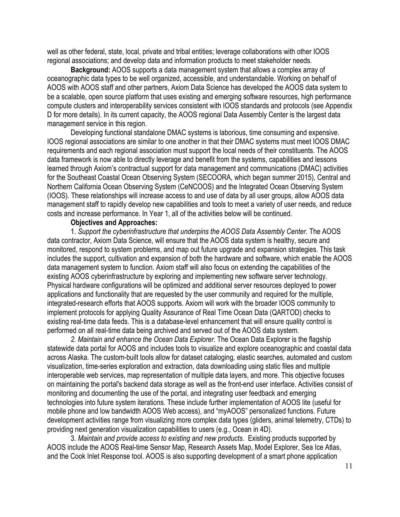well as other federal, state, local, private and tribal entities; leverage collaborations with other IOOS regional associations; and develop data and information products to meet stakeholder needs.

**Background:** AOOS supports a data management system that allows a complex array of oceanographic data types to be well organized, accessible, and understandable. Working on behalf of AOOS with AOOS staff and other partners, Axiom Data Science has developed the AOOS data system to be a scalable, open source platform that uses existing and emerging software resources, high performance compute clusters and interoperability services consistent with IOOS standards and protocols (see Appendix D for more details). In its current capacity, the AOOS regional Data Assembly Center is the largest data management service in this region.

Developing functional standalone DMAC systems is laborious, time consuming and expensive. IOOS regional associations are similar to one another in that their DMAC systems must meet IOOS DMAC requirements and each regional association must support the local needs of their constituents. The AOOS data framework is now able to directly leverage and benefit from the systems, capabilities and lessons learned through Axiom's contractual support for data management and communications (DMAC) activities for the Southeast Coastal Ocean Observing System (SECOORA, which began summer 2015), Central and Northern California Ocean Observing System (CeNCOOS) and the Integrated Ocean Observing System (IOOS). These relationships will increase access to and use of data by all user groups, allow AOOS data management staff to rapidly develop new capabilities and tools to meet a variety of user needs, and reduce costs and increase performance. In Year 1, all of the activities below will be continued.

## **Objectives and Approaches:**

1. *Support the cyberinfrastructure that underpins the AOOS Data Assembly Center.* The AOOS data contractor, Axiom Data Science, will ensure that the AOOS data system is healthy, secure and monitored, respond to system problems, and map out future upgrade and expansion strategies. This task includes the support, cultivation and expansion of both the hardware and software, which enable the AOOS data management system to function. Axiom staff will also focus on extending the capabilities of the existing AOOS cyberinfrastructure by exploring and implementing new software server technology. Physical hardware configurations will be optimized and additional server resources deployed to power applications and functionality that are requested by the user community and required for the multiple, integrated-research efforts that AOOS supports. Axiom will work with the broader IOOS community to implement protocols for applying Quality Assurance of Real Time Ocean Data (QARTOD) checks to existing real-time data feeds. This is a database-level enhancement that will ensure quality control is performed on all real-time data being archived and served out of the AOOS data system.

*2. Maintain and enhance the Ocean Data Explorer.* The Ocean Data Explorer is the flagship statewide data portal for AOOS and includes tools to visualize and explore oceanographic and coastal data across Alaska. The custom-built tools allow for dataset cataloging, elastic searches, automated and custom visualization, time-series exploration and extraction, data downloading using static files and multiple interoperable web services, map representation of multiple data layers, and more. This objective focuses on maintaining the portal's backend data storage as well as the front-end user interface. Activities consist of monitoring and documenting the use of the portal, and integrating user feedback and emerging technologies into future system iterations. These include further implementation of AOOS lite (useful for mobile phone and low bandwidth AOOS Web access), and "myAOOS" personalized functions. Future development activities range from visualizing more complex data types (gliders, animal telemetry, CTDs) to providing next generation visualization capabilities to users (e.g., Ocean in 4D).

3. *Maintain and provide access to existing and new products*. Existing products supported by AOOS include the AOOS Real-time Sensor Map, Research Assets Map, Model Explorer, Sea Ice Atlas, and the Cook Inlet Response tool. AOOS is also supporting development of a smart phone application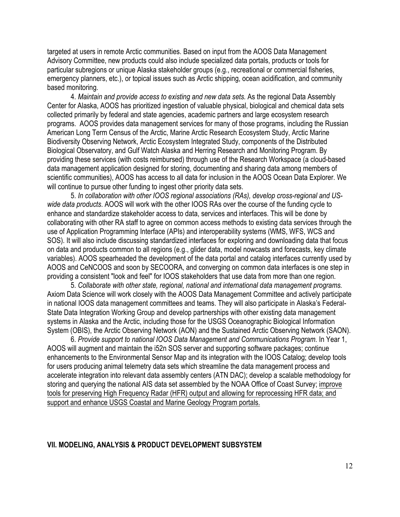targeted at users in remote Arctic communities. Based on input from the AOOS Data Management Advisory Committee, new products could also include specialized data portals, products or tools for particular subregions or unique Alaska stakeholder groups (e.g., recreational or commercial fisheries, emergency planners, etc.), or topical issues such as Arctic shipping, ocean acidification, and community based monitoring.

4. *Maintain and provide access to existing and new data sets.* As the regional Data Assembly Center for Alaska, AOOS has prioritized ingestion of valuable physical, biological and chemical data sets collected primarily by federal and state agencies, academic partners and large ecosystem research programs. AOOS provides data management services for many of those programs, including the Russian American Long Term Census of the Arctic, Marine Arctic Research Ecosystem Study, Arctic Marine Biodiversity Observing Network, Arctic Ecosystem Integrated Study, components of the Distributed Biological Observatory, and Gulf Watch Alaska and Herring Research and Monitoring Program. By providing these services (with costs reimbursed) through use of the Research Workspace (a cloud-based data management application designed for storing, documenting and sharing data among members of scientific communities), AOOS has access to all data for inclusion in the AOOS Ocean Data Explorer. We will continue to pursue other funding to ingest other priority data sets.

5. *In collaboration with other IOOS regional associations (RAs), develop cross-regional and USwide data products*. AOOS will work with the other IOOS RAs over the course of the funding cycle to enhance and standardize stakeholder access to data, services and interfaces. This will be done by collaborating with other RA staff to agree on common access methods to existing data services through the use of Application Programming Interface (APIs) and interoperability systems (WMS, WFS, WCS and SOS). It will also include discussing standardized interfaces for exploring and downloading data that focus on data and products common to all regions (e.g., glider data, model nowcasts and forecasts, key climate variables). AOOS spearheaded the development of the data portal and catalog interfaces currently used by AOOS and CeNCOOS and soon by SECOORA, and converging on common data interfaces is one step in providing a consistent "look and feel" for IOOS stakeholders that use data from more than one region.

5. *Collaborate with other state, regional, national and international data management programs.* Axiom Data Science will work closely with the AOOS Data Management Committee and actively participate in national IOOS data management committees and teams. They will also participate in Alaska's Federal-State Data Integration Working Group and develop partnerships with other existing data management systems in Alaska and the Arctic, including those for the USGS Oceanographic Biological Information System (OBIS), the Arctic Observing Network (AON) and the Sustained Arctic Observing Network (SAON).

6. *Provide support to national IOOS Data Management and Communications Program.* In Year 1, AOOS will augment and maintain the i52n SOS server and supporting software packages; continue enhancements to the Environmental Sensor Map and its integration with the IOOS Catalog; develop tools for users producing animal telemetry data sets which streamline the data management process and accelerate integration into relevant data assembly centers (ATN DAC); develop a scalable methodology for storing and querying the national AIS data set assembled by the NOAA Office of Coast Survey; improve tools for preserving High Frequency Radar (HFR) output and allowing for reprocessing HFR data; and support and enhance USGS Coastal and Marine Geology Program portals.

#### **VII. MODELING, ANALYSIS & PRODUCT DEVELOPMENT SUBSYSTEM**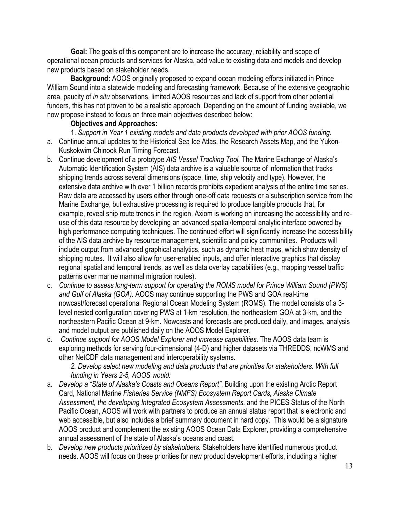**Goal:** The goals of this component are to increase the accuracy, reliability and scope of operational ocean products and services for Alaska, add value to existing data and models and develop new products based on stakeholder needs.

**Background:** AOOS originally proposed to expand ocean modeling efforts initiated in Prince William Sound into a statewide modeling and forecasting framework. Because of the extensive geographic area, paucity of *in situ* observations, limited AOOS resources and lack of support from other potential funders, this has not proven to be a realistic approach. Depending on the amount of funding available, we now propose instead to focus on three main objectives described below:

# **Objectives and Approaches:**

1. *Support in Year 1 existing models and data products developed with prior AOOS funding.*

- a. Continue annual updates to the Historical Sea Ice Atlas, the Research Assets Map, and the Yukon-Kuskokwim Chinook Run Timing Forecast.
- b. Continue development of a prototype *AIS Vessel Tracking Tool.* The Marine Exchange of Alaska's Automatic Identification System (AIS) data archive is a valuable source of information that tracks shipping trends across several dimensions (space, time, ship velocity and type). However, the extensive data archive with over 1 billion records prohibits expedient analysis of the entire time series. Raw data are accessed by users either through one-off data requests or a subscription service from the Marine Exchange, but exhaustive processing is required to produce tangible products that, for example, reveal ship route trends in the region. Axiom is working on increasing the accessibility and reuse of this data resource by developing an advanced spatial/temporal analytic interface powered by high performance computing techniques. The continued effort will significantly increase the accessibility of the AIS data archive by resource management, scientific and policy communities. Products will include output from advanced graphical analytics, such as dynamic heat maps, which show density of shipping routes. It will also allow for user-enabled inputs, and offer interactive graphics that display regional spatial and temporal trends, as well as data overlay capabilities (e.g., mapping vessel traffic patterns over marine mammal migration routes).
- c. *Continue to assess long-term support for operating the ROMS model for Prince William Sound (PWS) and Gulf of Alaska (GOA).* AOOS may continue supporting the PWS and GOA real-time nowcast/forecast operational Regional Ocean Modeling System (ROMS). The model consists of a 3 level nested configuration covering PWS at 1-km resolution, the northeastern GOA at 3-km, and the northeastern Pacific Ocean at 9-km. Nowcasts and forecasts are produced daily, and images, analysis and model output are published daily on the AOOS Model Explorer.
- d. *Continue support for AOOS Model Explorer and increase capabilities.* The AOOS data team is exploring methods for serving four-dimensional (4-D) and higher datasets via THREDDS, ncWMS and other NetCDF data management and interoperability systems.

*2. Develop select new modeling and data products that are priorities for stakeholders. With full funding in Years 2-5, AOOS would:*

- a. *Develop a "State of Alaska's Coasts and Oceans Report"*. Building upon the existing Arctic Report Card, National Marin*e Fisheries Service (NMFS) Ecosystem Report Cards, Alaska Climate Assessment, the developing Integrated Ecosystem Assessments,* and the PICES Status of the North Pacific Ocean, AOOS will work with partners to produce an annual status report that is electronic and web accessible, but also includes a brief summary document in hard copy. This would be a signature AOOS product and complement the existing AOOS Ocean Data Explorer, providing a comprehensive annual assessment of the state of Alaska's oceans and coast.
- b. *Develop new products prioritized by stakeholders.* Stakeholders have identified numerous product needs. AOOS will focus on these priorities for new product development efforts, including a higher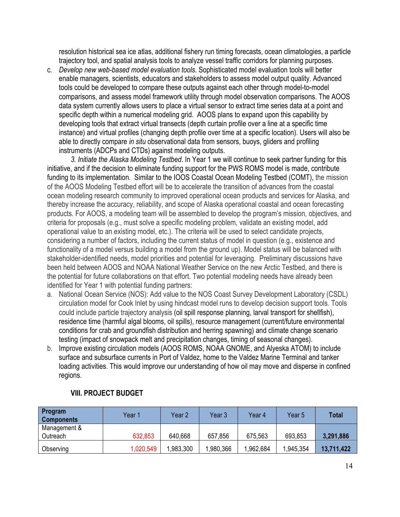resolution historical sea ice atlas, additional fishery run timing forecasts, ocean climatologies, a particle trajectory tool, and spatial analysis tools to analyze vessel traffic corridors for planning purposes.

c. *Develop new web-based model evaluation tools*. Sophisticated model evaluation tools will better enable managers, scientists, educators and stakeholders to assess model output quality. Advanced tools could be developed to compare these outputs against each other through model-to-model comparisons, and assess model framework utility through model observation comparisons. The AOOS data system currently allows users to place a virtual sensor to extract time series data at a point and specific depth within a numerical modeling grid. AOOS plans to expand upon this capability by developing tools that extract virtual transects (depth curtain profile over a line at a specific time instance) and virtual profiles (changing depth profile over time at a specific location). Users will also be able to directly compare *in situ* observational data from sensors, buoys, gliders and profiling instruments (ADCPs and CTDs) against modeling outputs.

*3. Initiate the Alaska Modeling Testbed*. In Year 1 we will continue to seek partner funding for this initiative, and if the decision to eliminate funding support for the PWS ROMS model is made, contribute funding to its implementation. Similar to the IOOS Coastal Ocean Modeling Testbed (COMT), the mission of the AOOS Modeling Testbed effort will be to accelerate the transition of advances from the coastal ocean modeling research community to improved operational ocean products and services for Alaska, and thereby increase the accuracy, reliability, and scope of Alaska operational coastal and ocean forecasting products. For AOOS, a modeling team will be assembled to develop the program's mission, objectives, and criteria for proposals (e.g., must solve a specific modeling problem, validate an existing model, add operational value to an existing model, etc.). The criteria will be used to select candidate projects, considering a number of factors, including the current status of model in question (e.g., existence and functionality of a model versus building a model from the ground up). Model status will be balanced with stakeholder-identified needs, model priorities and potential for leveraging. Preliminary discussions have been held between AOOS and NOAA National Weather Service on the new Arctic Testbed, and there is the potential for future collaborations on that effort. Two potential modeling needs have already been identified for Year 1 with potential funding partners:

- a. National Ocean Service (NOS): Add value to the NOS Coast Survey Development Laboratory (CSDL) circulation model for Cook Inlet by using hindcast model runs to develop decision support tools. Tools could include particle trajectory analysis (oil spill response planning, larval transport for shellfish), residence time (harmful algal blooms, oil spills), resource management (current/future environmental conditions for crab and groundfish distribution and herring spawning) and climate change scenario testing (impact of snowpack melt and precipitation changes, timing of seasonal changes).
- b. Improve existing circulation models (AOOS ROMS, NOAA GNOME, and Alyeska ATOM) to include surface and subsurface currents in Port of Valdez, home to the Valdez Marine Terminal and tanker loading activities. This would improve our understanding of how oil may move and disperse in confined regions.

| Program<br><b>Components</b> | Year 1    | Year 2   | Year 3   | Year 4    | Year 5    | Total      |
|------------------------------|-----------|----------|----------|-----------|-----------|------------|
| Management &                 |           |          |          |           |           |            |
| Outreach                     | 632,853   | 640,668  | 657,856  | 675,563   | 693,853   | 3,291,886  |
| Observing                    | 1,020,549 | ,983,300 | ,980,366 | 1,962,684 | 1,945,354 | 13,711,422 |

# **VIII. PROJECT BUDGET**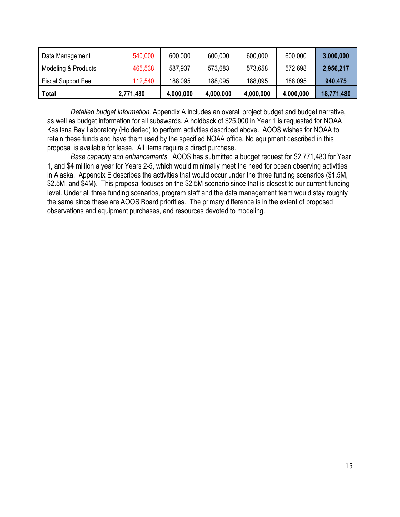| Data Management           | 540,000   | 600,000   | 600,000   | 600,000   | 600,000   | 3,000,000  |
|---------------------------|-----------|-----------|-----------|-----------|-----------|------------|
| Modeling & Products       | 465,538   | 587,937   | 573,683   | 573,658   | 572,698   | 2,956,217  |
| <b>Fiscal Support Fee</b> | 112,540   | 188,095   | 188,095   | 188,095   | 188,095   | 940,475    |
| Total                     | 2,771,480 | 4,000,000 | 4,000,000 | 4,000,000 | 4,000,000 | 18,771,480 |

*Detailed budget information.* Appendix A includes an overall project budget and budget narrative, as well as budget information for all subawards. A holdback of \$25,000 in Year 1 is requested for NOAA Kasitsna Bay Laboratory (Holderied) to perform activities described above. AOOS wishes for NOAA to retain these funds and have them used by the specified NOAA office. No equipment described in this proposal is available for lease. All items require a direct purchase.

*Base capacity and enhancements.* AOOS has submitted a budget request for \$2,771,480 for Year 1, and \$4 million a year for Years 2-5, which would minimally meet the need for ocean observing activities in Alaska. Appendix E describes the activities that would occur under the three funding scenarios (\$1.5M, \$2.5M, and \$4M). This proposal focuses on the \$2.5M scenario since that is closest to our current funding level. Under all three funding scenarios, program staff and the data management team would stay roughly the same since these are AOOS Board priorities. The primary difference is in the extent of proposed observations and equipment purchases, and resources devoted to modeling.